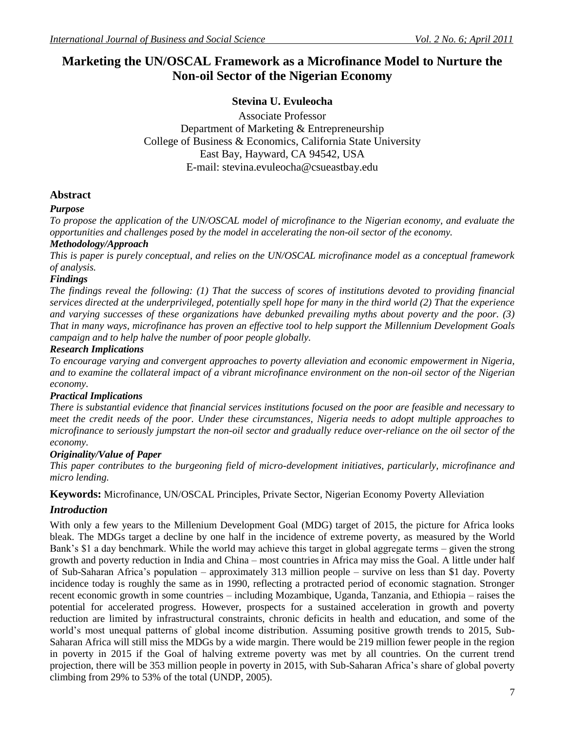# **Marketing the UN/OSCAL Framework as a Microfinance Model to Nurture the Non-oil Sector of the Nigerian Economy**

# **Stevina U. Evuleocha**

Associate Professor Department of Marketing & Entrepreneurship College of Business & Economics, California State University East Bay, Hayward, CA 94542, USA E-mail: stevina.evuleocha@csueastbay.edu

## **Abstract**

### *Purpose*

*To propose the application of the UN/OSCAL model of microfinance to the Nigerian economy, and evaluate the opportunities and challenges posed by the model in accelerating the non-oil sector of the economy.*

### *Methodology/Approach*

*This is paper is purely conceptual, and relies on the UN/OSCAL microfinance model as a conceptual framework of analysis.*

### *Findings*

*The findings reveal the following: (1) That the success of scores of institutions devoted to providing financial services directed at the underprivileged, potentially spell hope for many in the third world (2) That the experience and varying successes of these organizations have debunked prevailing myths about poverty and the poor. (3) That in many ways, microfinance has proven an effective tool to help support the Millennium Development Goals campaign and to help halve the number of poor people globally.*

### *Research Implications*

*To encourage varying and convergent approaches to poverty alleviation and economic empowerment in Nigeria, and to examine the collateral impact of a vibrant microfinance environment on the non-oil sector of the Nigerian economy.*

### *Practical Implications*

*There is substantial evidence that financial services institutions focused on the poor are feasible and necessary to meet the credit needs of the poor. Under these circumstances, Nigeria needs to adopt multiple approaches to microfinance to seriously jumpstart the non-oil sector and gradually reduce over-reliance on the oil sector of the economy.*

### *Originality/Value of Paper*

*This paper contributes to the burgeoning field of micro-development initiatives, particularly, microfinance and micro lending.*

**Keywords:** Microfinance, UN/OSCAL Principles, Private Sector, Nigerian Economy Poverty Alleviation

### *Introduction*

With only a few years to the Millenium Development Goal (MDG) target of 2015, the picture for Africa looks bleak. The MDGs target a decline by one half in the incidence of extreme poverty, as measured by the World Bank's \$1 a day benchmark. While the world may achieve this target in global aggregate terms – given the strong growth and poverty reduction in India and China – most countries in Africa may miss the Goal. A little under half of Sub-Saharan Africa"s population – approximately 313 million people – survive on less than \$1 day. Poverty incidence today is roughly the same as in 1990, reflecting a protracted period of economic stagnation. Stronger recent economic growth in some countries – including Mozambique, Uganda, Tanzania, and Ethiopia – raises the potential for accelerated progress. However, prospects for a sustained acceleration in growth and poverty reduction are limited by infrastructural constraints, chronic deficits in health and education, and some of the world"s most unequal patterns of global income distribution. Assuming positive growth trends to 2015, Sub-Saharan Africa will still miss the MDGs by a wide margin. There would be 219 million fewer people in the region in poverty in 2015 if the Goal of halving extreme poverty was met by all countries. On the current trend projection, there will be 353 million people in poverty in 2015, with Sub-Saharan Africa"s share of global poverty climbing from 29% to 53% of the total (UNDP, 2005).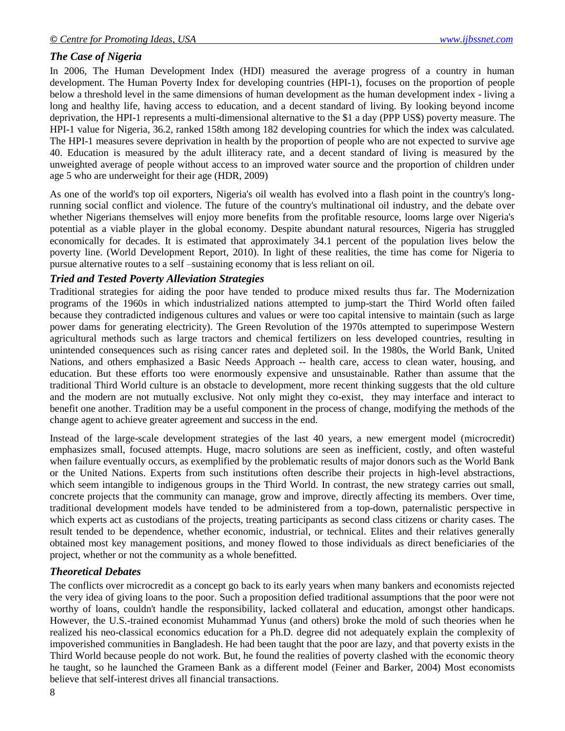# *The Case of Nigeria*

In 2006, The Human Development Index (HDI) measured the average progress of a country in human development. The Human Poverty Index for developing countries (HPI-1), focuses on the proportion of people below a threshold level in the same dimensions of human development as the human development index - living a long and healthy life, having access to education, and a decent standard of living. By looking beyond income deprivation, the HPI-1 represents a multi-dimensional alternative to the \$1 a day (PPP US\$) poverty measure. The HPI-1 value for Nigeria, 36.2, ranked 158th among 182 developing countries for which the index was calculated. The HPI-1 measures severe deprivation in health by the proportion of people who are not expected to survive age 40. Education is measured by the adult illiteracy rate, and a decent standard of living is measured by the unweighted average of people without access to an improved water source and the proportion of children under age 5 who are underweight for their age (HDR, 2009)

As one of the world's top oil exporters, Nigeria's oil wealth has evolved into a flash point in the country's longrunning social conflict and violence. The future of the country's multinational oil industry, and the debate over whether Nigerians themselves will enjoy more benefits from the profitable resource, looms large over Nigeria's potential as a viable player in the global economy. Despite abundant natural resources, Nigeria has struggled economically for decades. It is estimated that approximately 34.1 percent of the population lives below the poverty line. (World Development Report, 2010). In light of these realities, the time has come for Nigeria to pursue alternative routes to a self –sustaining economy that is less reliant on oil.

### *Tried and Tested Poverty Alleviation Strategies*

Traditional strategies for aiding the poor have tended to produce mixed results thus far. The Modernization programs of the 1960s in which industrialized nations attempted to jump-start the Third World often failed because they contradicted indigenous cultures and values or were too capital intensive to maintain (such as large power dams for generating electricity). The Green Revolution of the 1970s attempted to superimpose Western agricultural methods such as large tractors and chemical fertilizers on less developed countries, resulting in unintended consequences such as rising cancer rates and depleted soil. In the 1980s, the World Bank, United Nations, and others emphasized a Basic Needs Approach -- health care, access to clean water, housing, and education. But these efforts too were enormously expensive and unsustainable. Rather than assume that the traditional Third World culture is an obstacle to development, more recent thinking suggests that the old culture and the modern are not mutually exclusive. Not only might they co-exist, they may interface and interact to benefit one another. Tradition may be a useful component in the process of change, modifying the methods of the change agent to achieve greater agreement and success in the end.

Instead of the large-scale development strategies of the last 40 years, a new emergent model (microcredit) emphasizes small, focused attempts. Huge, macro solutions are seen as inefficient, costly, and often wasteful when failure eventually occurs, as exemplified by the problematic results of major donors such as the World Bank or the United Nations. Experts from such institutions often describe their projects in high-level abstractions, which seem intangible to indigenous groups in the Third World. In contrast, the new strategy carries out small, concrete projects that the community can manage, grow and improve, directly affecting its members. Over time, traditional development models have tended to be administered from a top-down, paternalistic perspective in which experts act as custodians of the projects, treating participants as second class citizens or charity cases. The result tended to be dependence, whether economic, industrial, or technical. Elites and their relatives generally obtained most key management positions, and money flowed to those individuals as direct beneficiaries of the project, whether or not the community as a whole benefitted.

### *Theoretical Debates*

The conflicts over microcredit as a concept go back to its early years when many bankers and economists rejected the very idea of giving loans to the poor. Such a proposition defied traditional assumptions that the poor were not worthy of loans, couldn't handle the responsibility, lacked collateral and education, amongst other handicaps. However, the U.S.-trained economist Muhammad Yunus (and others) broke the mold of such theories when he realized his neo-classical economics education for a Ph.D. degree did not adequately explain the complexity of impoverished communities in Bangladesh. He had been taught that the poor are lazy, and that poverty exists in the Third World because people do not work. But, he found the realities of poverty clashed with the economic theory he taught, so he launched the Grameen Bank as a different model (Feiner and Barker, 2004) Most economists believe that self-interest drives all financial transactions.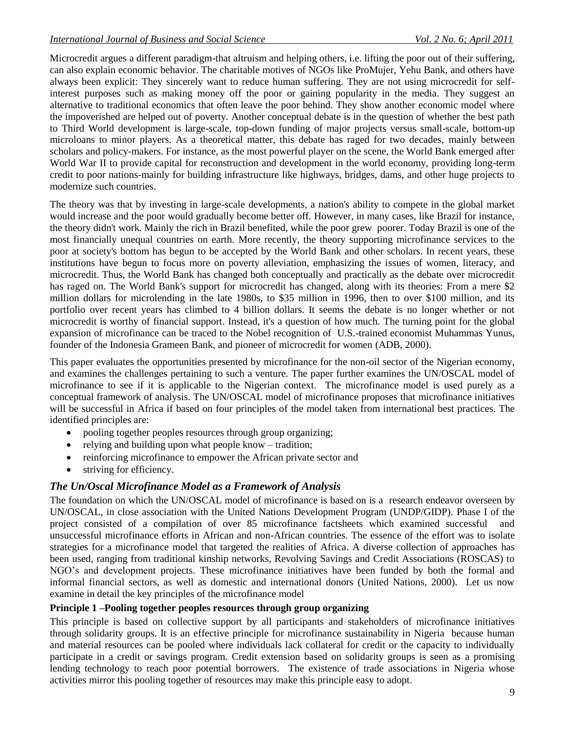Microcredit argues a different paradigm-that altruism and helping others, i.e. lifting the poor out of their suffering, can also explain economic behavior. The charitable motives of NGOs like ProMujer, Yehu Bank, and others have always been explicit: They sincerely want to reduce human suffering. They are not using microcredit for selfinterest purposes such as making money off the poor or gaining popularity in the media. They suggest an alternative to traditional economics that often leave the poor behind. They show another economic model where the impoverished are helped out of poverty. Another conceptual debate is in the question of whether the best path to Third World development is large-scale, top-down funding of major projects versus small-scale, bottom-up microloans to minor players. As a theoretical matter, this debate has raged for two decades, mainly between scholars and policy-makers. For instance, as the most powerful player on the scene, the World Bank emerged after World War II to provide capital for reconstruction and development in the world economy, providing long-term credit to poor nations-mainly for building infrastructure like highways, bridges, dams, and other huge projects to modernize such countries.

The theory was that by investing in large-scale developments, a nation's ability to compete in the global market would increase and the poor would gradually become better off. However, in many cases, like Brazil for instance, the theory didn't work. Mainly the rich in Brazil benefited, while the poor grew poorer. Today Brazil is one of the most financially unequal countries on earth. More recently, the theory supporting microfinance services to the poor at society's bottom has begun to be accepted by the World Bank and other scholars. In recent years, these institutions have begun to focus more on poverty alleviation, emphasizing the issues of women, literacy, and microcredit. Thus, the World Bank has changed both conceptually and practically as the debate over microcredit has raged on. The World Bank's support for microcredit has changed, along with its theories: From a mere \$2 million dollars for microlending in the late 1980s, to \$35 million in 1996, then to over \$100 million, and its portfolio over recent years has climbed to 4 billion dollars. It seems the debate is no longer whether or not microcredit is worthy of financial support. Instead, it's a question of how much. The turning point for the global expansion of microfinance can be traced to the Nobel recognition of U.S.-trained economist Muhammas Yunus, founder of the Indonesia Grameen Bank, and pioneer of microcredit for women (ADB, 2000).

This paper evaluates the opportunities presented by microfinance for the non-oil sector of the Nigerian economy, and examines the challenges pertaining to such a venture. The paper further examines the UN/OSCAL model of microfinance to see if it is applicable to the Nigerian context. The microfinance model is used purely as a conceptual framework of analysis. The UN/OSCAL model of microfinance proposes that microfinance initiatives will be successful in Africa if based on four principles of the model taken from international best practices. The identified principles are:

- pooling together peoples resources through group organizing;
- relying and building upon what people know tradition;
- reinforcing microfinance to empower the African private sector and
- striving for efficiency.

### *The Un/Oscal Microfinance Model as a Framework of Analysis*

The foundation on which the UN/OSCAL model of microfinance is based on is a research endeavor overseen by UN/OSCAL, in close association with the United Nations Development Program (UNDP/GIDP). Phase I of the project consisted of a compilation of over 85 microfinance factsheets which examined successful and unsuccessful microfinance efforts in African and non-African countries. The essence of the effort was to isolate strategies for a microfinance model that targeted the realities of Africa. A diverse collection of approaches has been used, ranging from traditional kinship networks, Revolving Savings and Credit Associations (ROSCAS) to NGO"s and development projects. These microfinance initiatives have been funded by both the formal and informal financial sectors, as well as domestic and international donors (United Nations, 2000). Let us now examine in detail the key principles of the microfinance model

### **Principle 1 –Pooling together peoples resources through group organizing**

This principle is based on collective support by all participants and stakeholders of microfinance initiatives through solidarity groups. It is an effective principle for microfinance sustainability in Nigeria because human and material resources can be pooled where individuals lack collateral for credit or the capacity to individually participate in a credit or savings program. Credit extension based on solidarity groups is seen as a promising lending technology to reach poor potential borrowers. The existence of trade associations in Nigeria whose activities mirror this pooling together of resources may make this principle easy to adopt.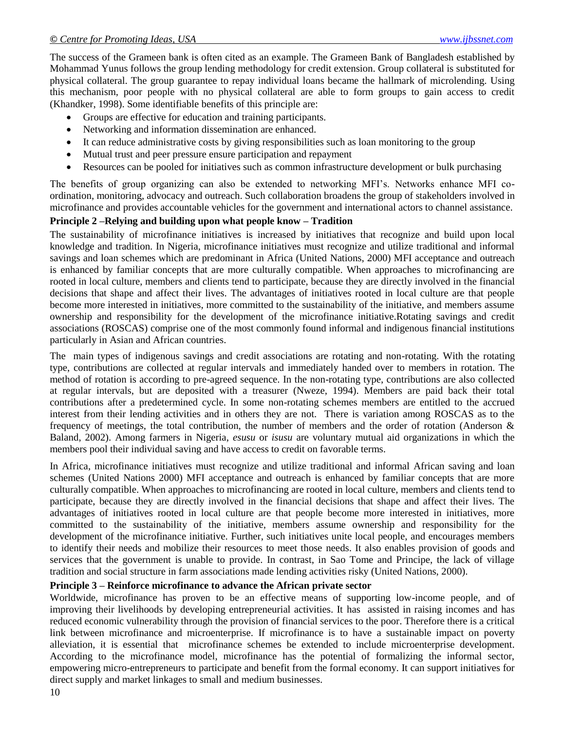The success of the Grameen bank is often cited as an example. The Grameen Bank of Bangladesh established by Mohammad Yunus follows the group lending methodology for credit extension. Group collateral is substituted for physical collateral. The group guarantee to repay individual loans became the hallmark of microlending. Using this mechanism, poor people with no physical collateral are able to form groups to gain access to credit (Khandker, 1998). Some identifiable benefits of this principle are:

- Groups are effective for education and training participants.
- Networking and information dissemination are enhanced.
- It can reduce administrative costs by giving responsibilities such as loan monitoring to the group
- Mutual trust and peer pressure ensure participation and repayment
- Resources can be pooled for initiatives such as common infrastructure development or bulk purchasing

The benefits of group organizing can also be extended to networking MFI"s. Networks enhance MFI coordination, monitoring, advocacy and outreach. Such collaboration broadens the group of stakeholders involved in microfinance and provides accountable vehicles for the government and international actors to channel assistance.

### **Principle 2 –Relying and building upon what people know – Tradition**

The sustainability of microfinance initiatives is increased by initiatives that recognize and build upon local knowledge and tradition. In Nigeria, microfinance initiatives must recognize and utilize traditional and informal savings and loan schemes which are predominant in Africa (United Nations, 2000) MFI acceptance and outreach is enhanced by familiar concepts that are more culturally compatible. When approaches to microfinancing are rooted in local culture, members and clients tend to participate, because they are directly involved in the financial decisions that shape and affect their lives. The advantages of initiatives rooted in local culture are that people become more interested in initiatives, more committed to the sustainability of the initiative, and members assume ownership and responsibility for the development of the microfinance initiative.Rotating savings and credit associations (ROSCAS) comprise one of the most commonly found informal and indigenous financial institutions particularly in Asian and African countries.

The main types of indigenous savings and credit associations are rotating and non-rotating. With the rotating type, contributions are collected at regular intervals and immediately handed over to members in rotation. The method of rotation is according to pre-agreed sequence. In the non-rotating type, contributions are also collected at regular intervals, but are deposited with a treasurer (Nweze, 1994). Members are paid back their total contributions after a predetermined cycle. In some non-rotating schemes members are entitled to the accrued interest from their lending activities and in others they are not. There is variation among ROSCAS as to the frequency of meetings, the total contribution, the number of members and the order of rotation (Anderson & Baland, 2002). Among farmers in Nigeria, *esusu* or *isusu* are voluntary mutual aid organizations in which the members pool their individual saving and have access to credit on favorable terms.

In Africa, microfinance initiatives must recognize and utilize traditional and informal African saving and loan schemes (United Nations 2000) MFI acceptance and outreach is enhanced by familiar concepts that are more culturally compatible. When approaches to microfinancing are rooted in local culture, members and clients tend to participate, because they are directly involved in the financial decisions that shape and affect their lives. The advantages of initiatives rooted in local culture are that people become more interested in initiatives, more committed to the sustainability of the initiative, members assume ownership and responsibility for the development of the microfinance initiative. Further, such initiatives unite local people, and encourages members to identify their needs and mobilize their resources to meet those needs. It also enables provision of goods and services that the government is unable to provide. In contrast, in Sao Tome and Principe, the lack of village tradition and social structure in farm associations made lending activities risky (United Nations, 2000).

### **Principle 3 – Reinforce microfinance to advance the African private sector**

Worldwide, microfinance has proven to be an effective means of supporting low-income people, and of improving their livelihoods by developing entrepreneurial activities. It has assisted in raising incomes and has reduced economic vulnerability through the provision of financial services to the poor. Therefore there is a critical link between microfinance and microenterprise. If microfinance is to have a sustainable impact on poverty alleviation, it is essential that microfinance schemes be extended to include microenterprise development. According to the microfinance model, microfinance has the potential of formalizing the informal sector, empowering micro-entrepreneurs to participate and benefit from the formal economy. It can support initiatives for direct supply and market linkages to small and medium businesses.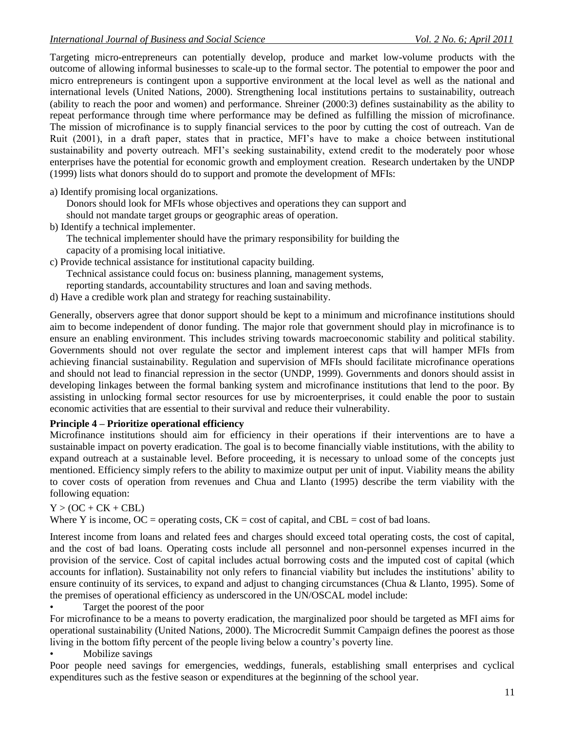Targeting micro-entrepreneurs can potentially develop, produce and market low-volume products with the outcome of allowing informal businesses to scale-up to the formal sector. The potential to empower the poor and micro entrepreneurs is contingent upon a supportive environment at the local level as well as the national and international levels (United Nations, 2000). Strengthening local institutions pertains to sustainability, outreach (ability to reach the poor and women) and performance. Shreiner (2000:3) defines sustainability as the ability to repeat performance through time where performance may be defined as fulfilling the mission of microfinance. The mission of microfinance is to supply financial services to the poor by cutting the cost of outreach. Van de Ruit (2001), in a draft paper, states that in practice, MFI"s have to make a choice between institutional sustainability and poverty outreach. MFI"s seeking sustainability, extend credit to the moderately poor whose enterprises have the potential for economic growth and employment creation. Research undertaken by the UNDP (1999) lists what donors should do to support and promote the development of MFIs:

a) Identify promising local organizations.

Donors should look for MFIs whose objectives and operations they can support and

- should not mandate target groups or geographic areas of operation.
- b) Identify a technical implementer.

The technical implementer should have the primary responsibility for building the capacity of a promising local initiative.

c) Provide technical assistance for institutional capacity building.

Technical assistance could focus on: business planning, management systems,

reporting standards, accountability structures and loan and saving methods.

d) Have a credible work plan and strategy for reaching sustainability.

Generally, observers agree that donor support should be kept to a minimum and microfinance institutions should aim to become independent of donor funding. The major role that government should play in microfinance is to ensure an enabling environment. This includes striving towards macroeconomic stability and political stability. Governments should not over regulate the sector and implement interest caps that will hamper MFIs from achieving financial sustainability. Regulation and supervision of MFIs should facilitate microfinance operations and should not lead to financial repression in the sector (UNDP, 1999). Governments and donors should assist in developing linkages between the formal banking system and microfinance institutions that lend to the poor. By assisting in unlocking formal sector resources for use by microenterprises, it could enable the poor to sustain economic activities that are essential to their survival and reduce their vulnerability.

### **Principle 4 – Prioritize operational efficiency**

Microfinance institutions should aim for efficiency in their operations if their interventions are to have a sustainable impact on poverty eradication. The goal is to become financially viable institutions, with the ability to expand outreach at a sustainable level. Before proceeding, it is necessary to unload some of the concepts just mentioned. Efficiency simply refers to the ability to maximize output per unit of input. Viability means the ability to cover costs of operation from revenues and Chua and Llanto (1995) describe the term viability with the following equation:

### $Y > (OC + CK + CBL)$

Where Y is income,  $OC =$  operating costs,  $CK =$  cost of capital, and  $CBL =$  cost of bad loans.

Interest income from loans and related fees and charges should exceed total operating costs, the cost of capital, and the cost of bad loans. Operating costs include all personnel and non-personnel expenses incurred in the provision of the service. Cost of capital includes actual borrowing costs and the imputed cost of capital (which accounts for inflation). Sustainability not only refers to financial viability but includes the institutions" ability to ensure continuity of its services, to expand and adjust to changing circumstances (Chua & Llanto, 1995). Some of the premises of operational efficiency as underscored in the UN/OSCAL model include:

• Target the poorest of the poor

For microfinance to be a means to poverty eradication, the marginalized poor should be targeted as MFI aims for operational sustainability (United Nations, 2000). The Microcredit Summit Campaign defines the poorest as those living in the bottom fifty percent of the people living below a country"s poverty line.

Mobilize savings

Poor people need savings for emergencies, weddings, funerals, establishing small enterprises and cyclical expenditures such as the festive season or expenditures at the beginning of the school year.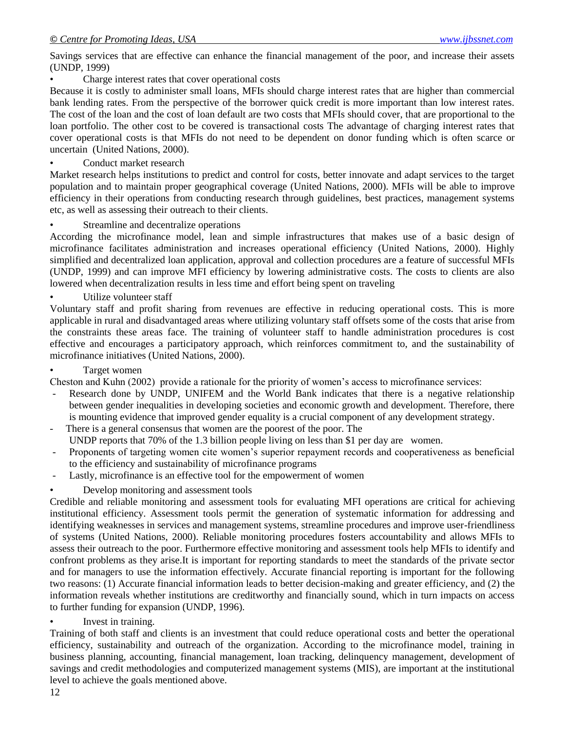Savings services that are effective can enhance the financial management of the poor, and increase their assets (UNDP, 1999)

Charge interest rates that cover operational costs

Because it is costly to administer small loans, MFIs should charge interest rates that are higher than commercial bank lending rates. From the perspective of the borrower quick credit is more important than low interest rates. The cost of the loan and the cost of loan default are two costs that MFIs should cover, that are proportional to the loan portfolio. The other cost to be covered is transactional costs The advantage of charging interest rates that cover operational costs is that MFIs do not need to be dependent on donor funding which is often scarce or uncertain (United Nations, 2000).

Conduct market research

Market research helps institutions to predict and control for costs, better innovate and adapt services to the target population and to maintain proper geographical coverage (United Nations, 2000). MFIs will be able to improve efficiency in their operations from conducting research through guidelines, best practices, management systems etc, as well as assessing their outreach to their clients.

Streamline and decentralize operations

According the microfinance model, lean and simple infrastructures that makes use of a basic design of microfinance facilitates administration and increases operational efficiency (United Nations, 2000). Highly simplified and decentralized loan application, approval and collection procedures are a feature of successful MFIs (UNDP, 1999) and can improve MFI efficiency by lowering administrative costs. The costs to clients are also lowered when decentralization results in less time and effort being spent on traveling

Utilize volunteer staff

Voluntary staff and profit sharing from revenues are effective in reducing operational costs. This is more applicable in rural and disadvantaged areas where utilizing voluntary staff offsets some of the costs that arise from the constraints these areas face. The training of volunteer staff to handle administration procedures is cost effective and encourages a participatory approach, which reinforces commitment to, and the sustainability of microfinance initiatives (United Nations, 2000).

### Target women

Cheston and Kuhn (2002) provide a rationale for the priority of women"s access to microfinance services:

- Research done by UNDP, UNIFEM and the World Bank indicates that there is a negative relationship between gender inequalities in developing societies and economic growth and development. Therefore, there is mounting evidence that improved gender equality is a crucial component of any development strategy.
- There is a general consensus that women are the poorest of the poor. The UNDP reports that 70% of the 1.3 billion people living on less than \$1 per day are women.
- Proponents of targeting women cite women"s superior repayment records and cooperativeness as beneficial to the efficiency and sustainability of microfinance programs
- Lastly, microfinance is an effective tool for the empowerment of women
- Develop monitoring and assessment tools

Credible and reliable monitoring and assessment tools for evaluating MFI operations are critical for achieving institutional efficiency. Assessment tools permit the generation of systematic information for addressing and identifying weaknesses in services and management systems, streamline procedures and improve user-friendliness of systems (United Nations, 2000). Reliable monitoring procedures fosters accountability and allows MFIs to assess their outreach to the poor. Furthermore effective monitoring and assessment tools help MFIs to identify and confront problems as they arise.It is important for reporting standards to meet the standards of the private sector and for managers to use the information effectively. Accurate financial reporting is important for the following two reasons: (1) Accurate financial information leads to better decision-making and greater efficiency, and (2) the information reveals whether institutions are creditworthy and financially sound, which in turn impacts on access to further funding for expansion (UNDP, 1996).

Invest in training.

Training of both staff and clients is an investment that could reduce operational costs and better the operational efficiency, sustainability and outreach of the organization. According to the microfinance model, training in business planning, accounting, financial management, loan tracking, delinquency management, development of savings and credit methodologies and computerized management systems (MIS), are important at the institutional level to achieve the goals mentioned above.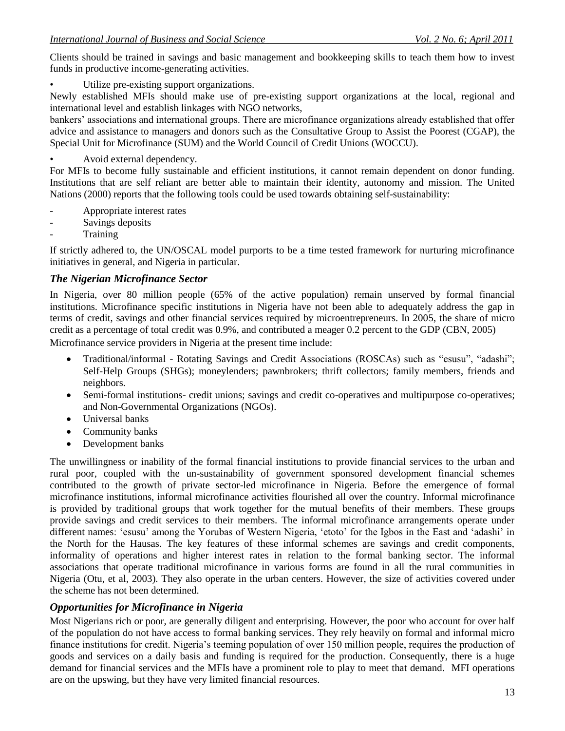Clients should be trained in savings and basic management and bookkeeping skills to teach them how to invest funds in productive income-generating activities.

Utilize pre-existing support organizations.

Newly established MFIs should make use of pre-existing support organizations at the local, regional and international level and establish linkages with NGO networks,

bankers" associations and international groups. There are microfinance organizations already established that offer advice and assistance to managers and donors such as the Consultative Group to Assist the Poorest (CGAP), the Special Unit for Microfinance (SUM) and the World Council of Credit Unions (WOCCU).

Avoid external dependency.

For MFIs to become fully sustainable and efficient institutions, it cannot remain dependent on donor funding. Institutions that are self reliant are better able to maintain their identity, autonomy and mission. The United Nations (2000) reports that the following tools could be used towards obtaining self-sustainability:

- Appropriate interest rates
- Savings deposits
- **Training**

If strictly adhered to, the UN/OSCAL model purports to be a time tested framework for nurturing microfinance initiatives in general, and Nigeria in particular.

# *The Nigerian Microfinance Sector*

In Nigeria, over 80 million people (65% of the active population) remain unserved by formal financial institutions. Microfinance specific institutions in Nigeria have not been able to adequately address the gap in terms of credit, savings and other financial services required by microentrepreneurs. In 2005, the share of micro credit as a percentage of total credit was 0.9%, and contributed a meager 0.2 percent to the GDP (CBN, 2005) Microfinance service providers in Nigeria at the present time include:

- Traditional/informal Rotating Savings and Credit Associations (ROSCAs) such as "esusu", "adashi"; Self-Help Groups (SHGs); moneylenders; pawnbrokers; thrift collectors; family members, friends and neighbors.
- Semi-formal institutions- credit unions; savings and credit co-operatives and multipurpose co-operatives; and Non-Governmental Organizations (NGOs).
- Universal banks
- Community banks
- Development banks

The unwillingness or inability of the formal financial institutions to provide financial services to the urban and rural poor, coupled with the un-sustainability of government sponsored development financial schemes contributed to the growth of private sector-led microfinance in Nigeria. Before the emergence of formal microfinance institutions, informal microfinance activities flourished all over the country. Informal microfinance is provided by traditional groups that work together for the mutual benefits of their members. These groups provide savings and credit services to their members. The informal microfinance arrangements operate under different names: 'esusu' among the Yorubas of Western Nigeria, 'etoto' for the Igbos in the East and 'adashi' in the North for the Hausas. The key features of these informal schemes are savings and credit components, informality of operations and higher interest rates in relation to the formal banking sector. The informal associations that operate traditional microfinance in various forms are found in all the rural communities in Nigeria (Otu, et al, 2003). They also operate in the urban centers. However, the size of activities covered under the scheme has not been determined.

# *Opportunities for Microfinance in Nigeria*

Most Nigerians rich or poor, are generally diligent and enterprising. However, the poor who account for over half of the population do not have access to formal banking services. They rely heavily on formal and informal micro finance institutions for credit. Nigeria's teeming population of over 150 million people, requires the production of goods and services on a daily basis and funding is required for the production. Consequently, there is a huge demand for financial services and the MFIs have a prominent role to play to meet that demand. MFI operations are on the upswing, but they have very limited financial resources.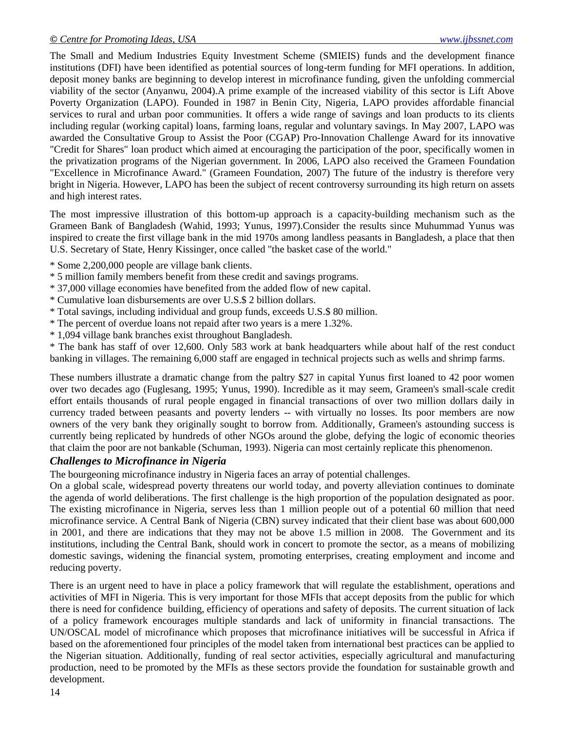The Small and Medium Industries Equity Investment Scheme (SMIEIS) funds and the development finance institutions (DFI) have been identified as potential sources of long-term funding for MFI operations. In addition, deposit money banks are beginning to develop interest in microfinance funding, given the unfolding commercial viability of the sector (Anyanwu, 2004).A prime example of the increased viability of this sector is Lift Above Poverty Organization (LAPO). Founded in 1987 in Benin City, Nigeria, LAPO provides affordable financial services to rural and urban poor communities. It offers a wide range of savings and loan products to its clients including regular (working capital) loans, farming loans, regular and voluntary savings. In May 2007, LAPO was awarded the Consultative Group to Assist the Poor (CGAP) Pro-Innovation Challenge Award for its innovative "Credit for Shares" loan product which aimed at encouraging the participation of the poor, specifically women in the privatization programs of the Nigerian government. In 2006, LAPO also received the Grameen Foundation "Excellence in Microfinance Award." (Grameen Foundation, 2007) The future of the industry is therefore very bright in Nigeria. However, LAPO has been the subject of recent controversy surrounding its high return on assets and high interest rates.

The most impressive illustration of this bottom-up approach is a capacity-building mechanism such as the Grameen Bank of Bangladesh (Wahid, 1993; Yunus, 1997).Consider the results since Muhummad Yunus was inspired to create the first village bank in the mid 1970s among landless peasants in Bangladesh, a place that then U.S. Secretary of State, Henry Kissinger, once called "the basket case of the world."

- \* Some 2,200,000 people are village bank clients.
- \* 5 million family members benefit from these credit and savings programs.
- \* 37,000 village economies have benefited from the added flow of new capital.
- \* Cumulative loan disbursements are over U.S.\$ 2 billion dollars.
- \* Total savings, including individual and group funds, exceeds U.S.\$ 80 million.
- \* The percent of overdue loans not repaid after two years is a mere 1.32%.
- \* 1,094 village bank branches exist throughout Bangladesh.

\* The bank has staff of over 12,600. Only 583 work at bank headquarters while about half of the rest conduct banking in villages. The remaining 6,000 staff are engaged in technical projects such as wells and shrimp farms.

These numbers illustrate a dramatic change from the paltry \$27 in capital Yunus first loaned to 42 poor women over two decades ago (Fuglesang, 1995; Yunus, 1990). Incredible as it may seem, Grameen's small-scale credit effort entails thousands of rural people engaged in financial transactions of over two million dollars daily in currency traded between peasants and poverty lenders -- with virtually no losses. Its poor members are now owners of the very bank they originally sought to borrow from. Additionally, Grameen's astounding success is currently being replicated by hundreds of other NGOs around the globe, defying the logic of economic theories that claim the poor are not bankable (Schuman, 1993). Nigeria can most certainly replicate this phenomenon.

### *Challenges to Microfinance in Nigeria*

The bourgeoning microfinance industry in Nigeria faces an array of potential challenges.

On a global scale, widespread poverty threatens our world today, and poverty alleviation continues to dominate the agenda of world deliberations. The first challenge is the high proportion of the population designated as poor. The existing microfinance in Nigeria, serves less than 1 million people out of a potential 60 million that need microfinance service. A Central Bank of Nigeria (CBN) survey indicated that their client base was about 600,000 in 2001, and there are indications that they may not be above 1.5 million in 2008. The Government and its institutions, including the Central Bank, should work in concert to promote the sector, as a means of mobilizing domestic savings, widening the financial system, promoting enterprises, creating employment and income and reducing poverty.

There is an urgent need to have in place a policy framework that will regulate the establishment, operations and activities of MFI in Nigeria. This is very important for those MFIs that accept deposits from the public for which there is need for confidence building, efficiency of operations and safety of deposits. The current situation of lack of a policy framework encourages multiple standards and lack of uniformity in financial transactions. The UN/OSCAL model of microfinance which proposes that microfinance initiatives will be successful in Africa if based on the aforementioned four principles of the model taken from international best practices can be applied to the Nigerian situation. Additionally, funding of real sector activities, especially agricultural and manufacturing production, need to be promoted by the MFIs as these sectors provide the foundation for sustainable growth and development.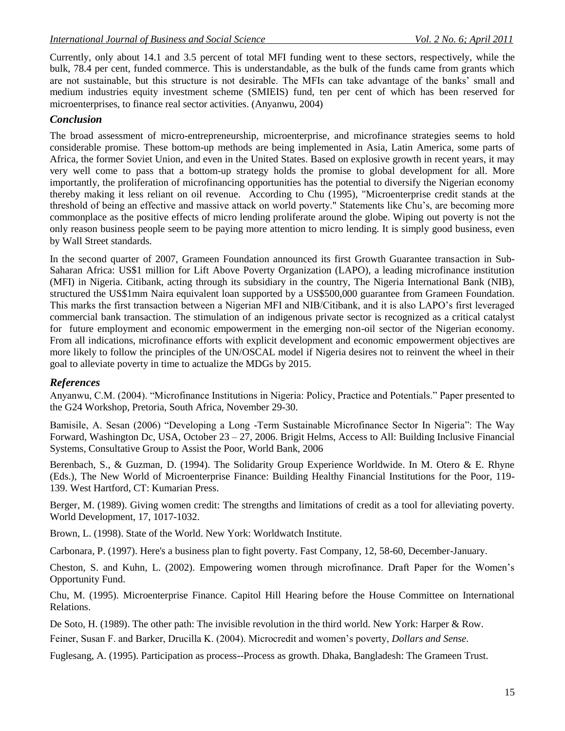Currently, only about 14.1 and 3.5 percent of total MFI funding went to these sectors, respectively, while the bulk, 78.4 per cent, funded commerce. This is understandable, as the bulk of the funds came from grants which are not sustainable, but this structure is not desirable. The MFIs can take advantage of the banks" small and medium industries equity investment scheme (SMIEIS) fund, ten per cent of which has been reserved for microenterprises, to finance real sector activities. (Anyanwu, 2004)

### *Conclusion*

The broad assessment of micro-entrepreneurship, microenterprise, and microfinance strategies seems to hold considerable promise. These bottom-up methods are being implemented in Asia, Latin America, some parts of Africa, the former Soviet Union, and even in the United States. Based on explosive growth in recent years, it may very well come to pass that a bottom-up strategy holds the promise to global development for all. More importantly, the proliferation of microfinancing opportunities has the potential to diversify the Nigerian economy thereby making it less reliant on oil revenue. According to Chu (1995), "Microenterprise credit stands at the threshold of being an effective and massive attack on world poverty." Statements like Chu"s, are becoming more commonplace as the positive effects of micro lending proliferate around the globe. Wiping out poverty is not the only reason business people seem to be paying more attention to micro lending. It is simply good business, even by Wall Street standards.

In the second quarter of 2007, Grameen Foundation announced its first Growth Guarantee transaction in Sub-Saharan Africa: US\$1 million for Lift Above Poverty Organization (LAPO), a leading microfinance institution (MFI) in Nigeria. Citibank, acting through its subsidiary in the country, The Nigeria International Bank (NIB), structured the US\$1mm Naira equivalent loan supported by a US\$500,000 guarantee from Grameen Foundation. This marks the first transaction between a Nigerian MFI and NIB/Citibank, and it is also LAPO"s first leveraged commercial bank transaction. The stimulation of an indigenous private sector is recognized as a critical catalyst for future employment and economic empowerment in the emerging non-oil sector of the Nigerian economy. From all indications, microfinance efforts with explicit development and economic empowerment objectives are more likely to follow the principles of the UN/OSCAL model if Nigeria desires not to reinvent the wheel in their goal to alleviate poverty in time to actualize the MDGs by 2015.

### *References*

Anyanwu, C.M. (2004). "Microfinance Institutions in Nigeria: Policy, Practice and Potentials." Paper presented to the G24 Workshop, Pretoria, South Africa, November 29-30.

Bamisile, A. Sesan (2006) "Developing a Long -Term Sustainable Microfinance Sector In Nigeria": The Way Forward, Washington Dc, USA, October 23 – 27, 2006. Brigit Helms, Access to All: Building Inclusive Financial Systems, Consultative Group to Assist the Poor, World Bank, 2006

Berenbach, S., & Guzman, D. (1994). The Solidarity Group Experience Worldwide. In M. Otero & E. Rhyne (Eds.), The New World of Microenterprise Finance: Building Healthy Financial Institutions for the Poor, 119- 139. West Hartford, CT: Kumarian Press.

Berger, M. (1989). Giving women credit: The strengths and limitations of credit as a tool for alleviating poverty. World Development, 17, 1017-1032.

Brown, L. (1998). State of the World. New York: Worldwatch Institute.

Carbonara, P. (1997). Here's a business plan to fight poverty. Fast Company, 12, 58-60, December-January.

Cheston, S. and Kuhn, L. (2002). Empowering women through microfinance. Draft Paper for the Women"s Opportunity Fund.

Chu, M. (1995). Microenterprise Finance. Capitol Hill Hearing before the House Committee on International Relations.

De Soto, H. (1989). The other path: The invisible revolution in the third world. New York: Harper & Row.

Feiner, Susan F. and Barker, Drucilla K. (2004). Microcredit and women"s poverty, *Dollars and Sense.*

Fuglesang, A. (1995). Participation as process--Process as growth. Dhaka, Bangladesh: The Grameen Trust.